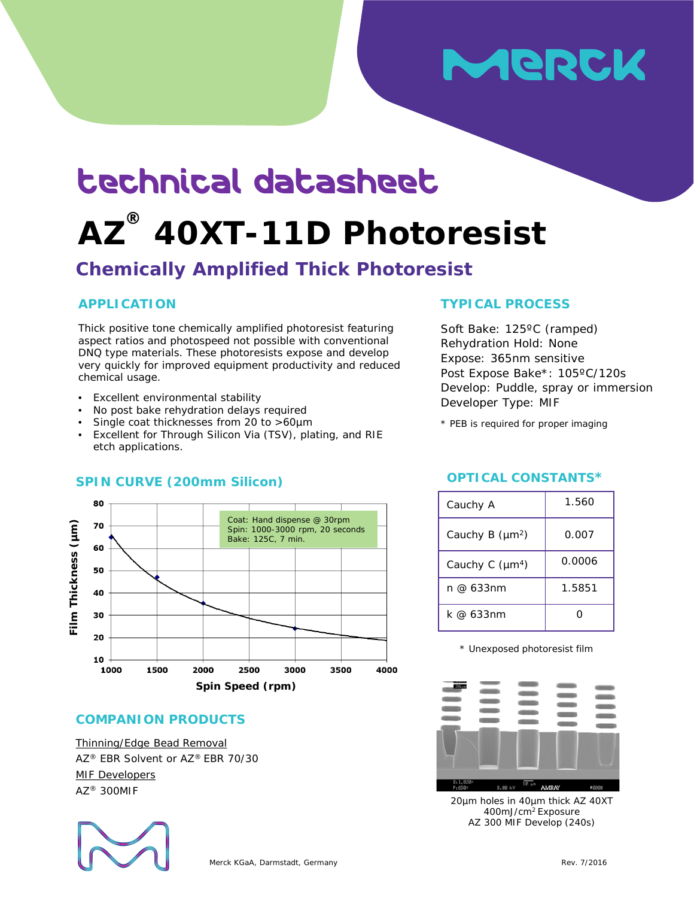# MeRck

## technical datasheet

## **AZ ® 40XT-11D Photoresist**

### **Chemically Amplified Thick Photoresist**

#### **APPLICATION**

Thick positive tone chemically amplified photoresist featuring aspect ratios and photospeed not possible with conventional DNQ type materials. These photoresists expose and develop very quickly for improved equipment productivity and reduced chemical usage.

- Excellent environmental stability
- No post bake rehydration delays required
- Single coat thicknesses from 20 to >60µm
- Excellent for Through Silicon Via (TSV), plating, and RIE etch applications.



### **SPIN CURVE (200mm Silicon) OPTICAL CONSTANTS\***

**COMPANION PRODUCTS**

Thinning/Edge Bead Removal AZ® EBR Solvent or AZ® EBR 70/30 MIF Developers AZ® 300MIF



#### Soft Bake: 125ºC (ramped)

**TYPICAL PROCESS**

Rehydration Hold: None Expose: 365nm sensitive Post Expose Bake\*: 105ºC/120s Develop: Puddle, spray or immersion Developer Type: MIF

\* PEB is required for proper imaging

| Cauchy A                    | 1.560  |  |  |
|-----------------------------|--------|--|--|
| Cauchy B (µm <sup>2</sup> ) | 0.007  |  |  |
| Cauchy C (µm <sup>4</sup> ) | 0.0006 |  |  |
| n @ 633nm                   | 1.5851 |  |  |
| k @ 633nm                   |        |  |  |

\* Unexposed photoresist film



20µm holes in 40µm thick AZ 40XT 400mJ/cm2 Exposure AZ 300 MIF Develop (240s)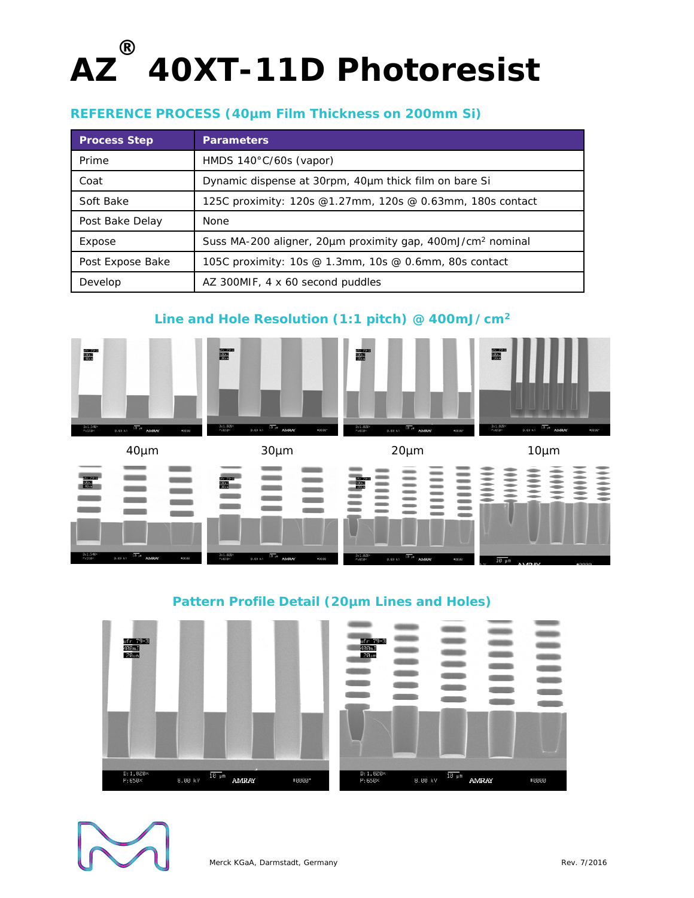#### **REFERENCE PROCESS (40µm Film Thickness on 200mm Si)**

| <b>Process Step</b> | <b>Parameters</b>                                                      |
|---------------------|------------------------------------------------------------------------|
| Prime               | HMDS $140^{\circ}$ C/60s (vapor)                                       |
| Coat                | Dynamic dispense at 30rpm, 40um thick film on bare Si                  |
| Soft Bake           | 125C proximity: 120s @1.27mm, 120s @ 0.63mm, 180s contact              |
| Post Bake Delay     | None                                                                   |
| Expose              | Suss MA-200 aligner, 20µm proximity gap, 400mJ/cm <sup>2</sup> nominal |
| Post Expose Bake    | 105C proximity: 10s @ 1.3mm, 10s @ 0.6mm, 80s contact                  |
| Develop             | AZ 300MIF, 4 x 60 second puddles                                       |

#### **Line and Hole Resolution (1:1 pitch) @ 400mJ/cm2**





| 0.00 kV | f. | AMRAY | <b>40030</b> |  |
|---------|----|-------|--------------|--|
|         |    |       |              |  |
|         |    |       |              |  |
|         |    |       |              |  |
|         |    |       |              |  |
|         |    |       |              |  |
|         |    |       |              |  |

| 1 <sub>0</sub><br>$20 \mu m$<br>$10 - 1$ |  |  |  |  |
|------------------------------------------|--|--|--|--|
|                                          |  |  |  |  |
|                                          |  |  |  |  |



#### **Pattern Profile Detail (20µm Lines and Holes)**



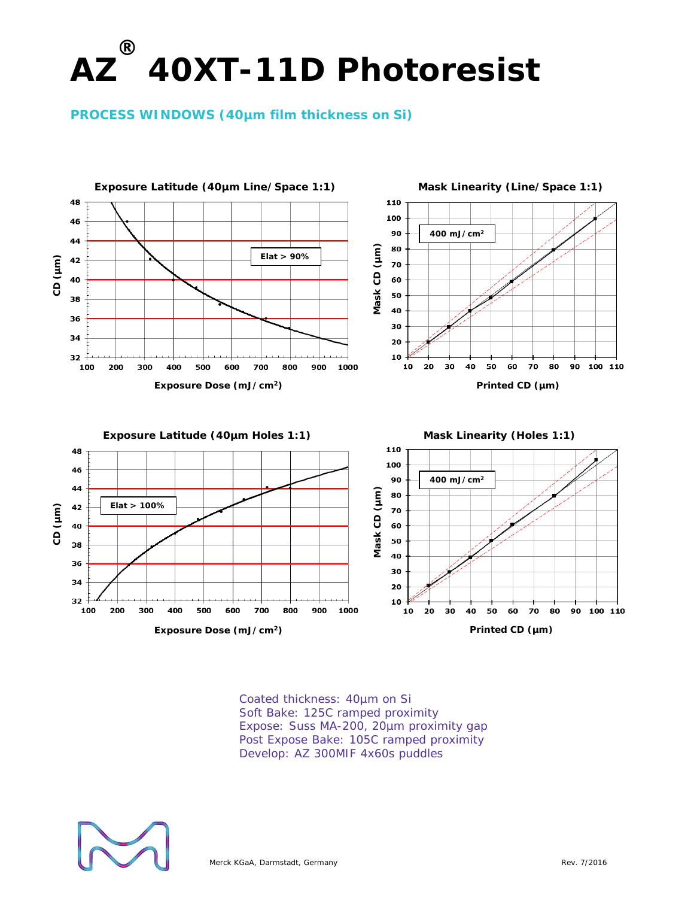**PROCESS WINDOWS (40µm film thickness on Si)** 



Coated thickness: 40µm on Si Soft Bake: 125C ramped proximity Expose: Suss MA-200, 20µm proximity gap Post Expose Bake: 105C ramped proximity Develop: AZ 300MIF 4x60s puddles

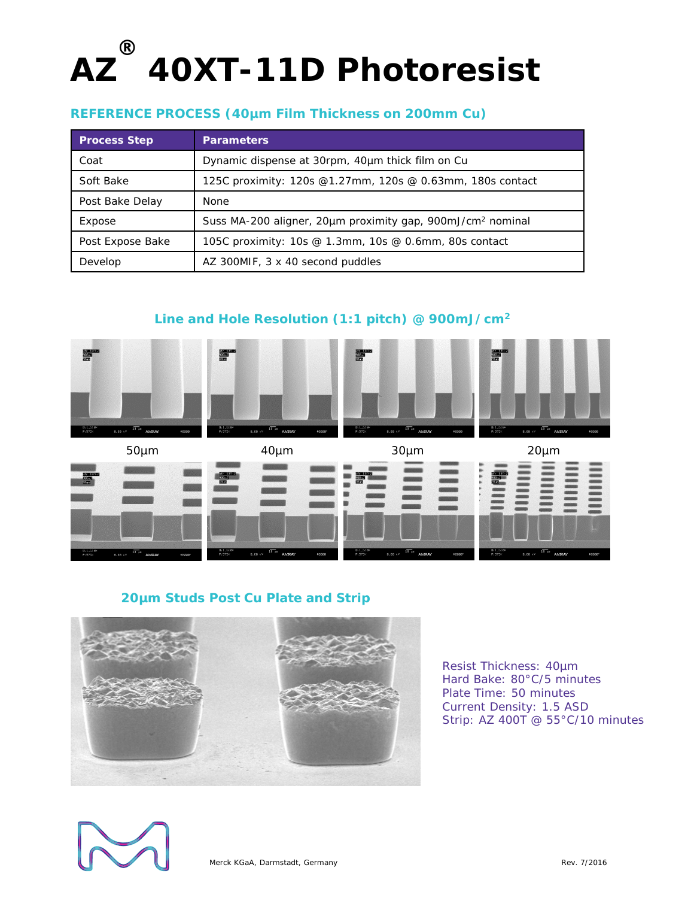#### **REFERENCE PROCESS (40µm Film Thickness on 200mm Cu)**

| <b>Process Step</b> | <b>Parameters</b>                                                      |
|---------------------|------------------------------------------------------------------------|
| Coat                | Dynamic dispense at 30rpm, 40um thick film on Cu                       |
| Soft Bake           | 125C proximity: 120s @1.27mm, 120s @ 0.63mm, 180s contact              |
| Post Bake Delay     | None                                                                   |
| Expose              | Suss MA-200 aligner, 20µm proximity gap, 900mJ/cm <sup>2</sup> nominal |
| Post Expose Bake    | 105C proximity: 10s @ 1.3mm, 10s @ 0.6mm, 80s contact                  |
| Develop             | AZ 300MIF, 3 x 40 second puddles                                       |

#### **Line and Hole Resolution (1:1 pitch) @ 900mJ/cm2**



#### **20µm Studs Post Cu Plate and Strip**



Resist Thickness: 40µm Hard Bake: 80°C/5 minutes Plate Time: 50 minutes Current Density: 1.5 ASD Strip: AZ 400T @ 55°C/10 minutes

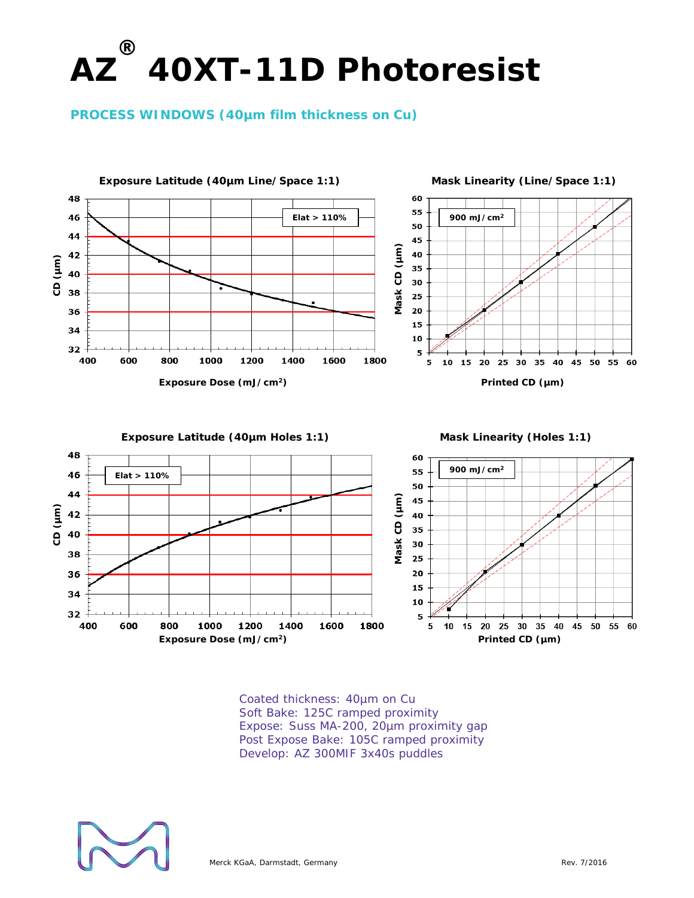#### **PROCESS WINDOWS (40µm film thickness on Cu)**



Coated thickness: 40µm on Cu Soft Bake: 125C ramped proximity Expose: Suss MA-200, 20µm proximity gap Post Expose Bake: 105C ramped proximity Develop: AZ 300MIF 3x40s puddles

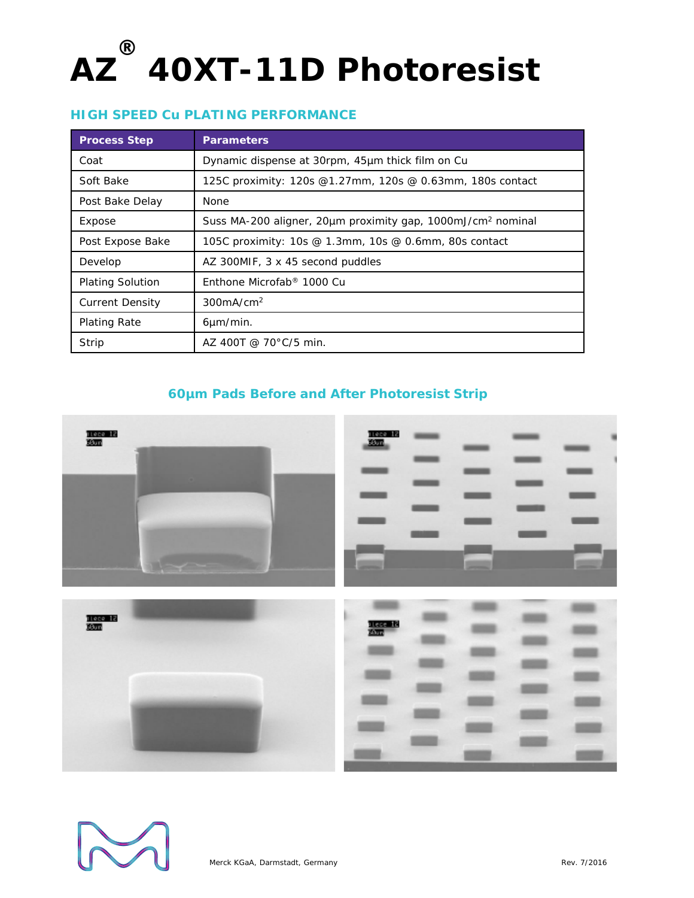#### **HIGH SPEED Cu PLATING PERFORMANCE**

| <b>Process Step</b>     | <b>Parameters</b>                                                       |
|-------------------------|-------------------------------------------------------------------------|
| Coat                    | Dynamic dispense at 30rpm, 45µm thick film on Cu                        |
| Soft Bake               | 125C proximity: 120s @1.27mm, 120s @ 0.63mm, 180s contact               |
| Post Bake Delay         | <b>None</b>                                                             |
| Expose                  | Suss MA-200 aligner, 20µm proximity gap, 1000mJ/cm <sup>2</sup> nominal |
| Post Expose Bake        | 105C proximity: 10s @ 1.3mm, 10s @ 0.6mm, 80s contact                   |
| Develop                 | AZ 300MIF, 3 x 45 second puddles                                        |
| <b>Plating Solution</b> | Enthone Microfab <sup>®</sup> 1000 Cu                                   |
| <b>Current Density</b>  | 300mA/cm <sup>2</sup>                                                   |
| <b>Plating Rate</b>     | $6 \mu m/min$ .                                                         |
| Strip                   | AZ 400T @ 70 $^{\circ}$ C/5 min.                                        |

#### **60µm Pads Before and After Photoresist Strip**



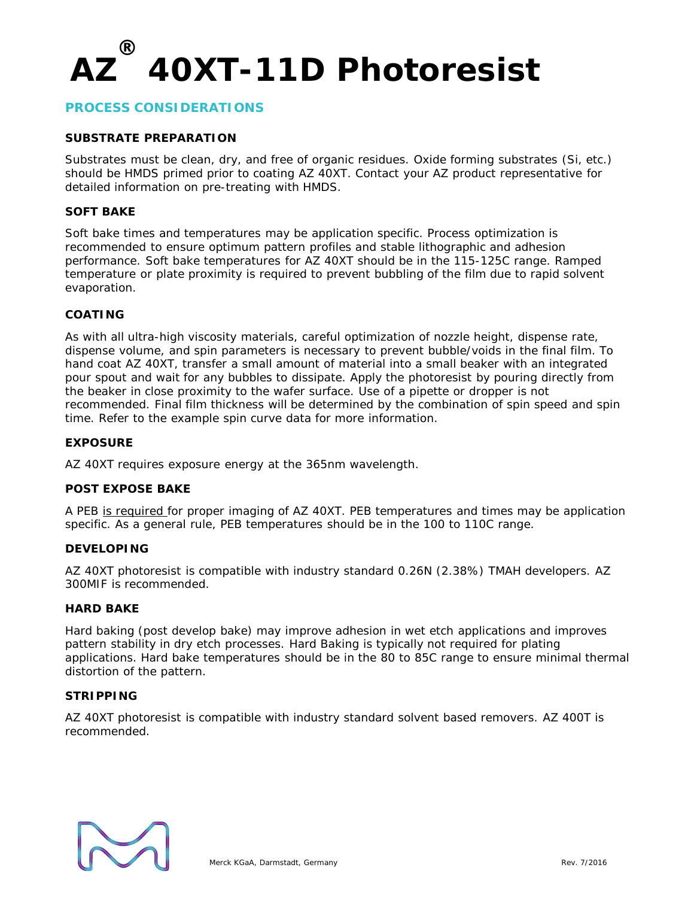#### **PROCESS CONSIDERATIONS**

#### **SUBSTRATE PREPARATION**

Substrates must be clean, dry, and free of organic residues. Oxide forming substrates (Si, etc.) should be HMDS primed prior to coating AZ 40XT. Contact your AZ product representative for detailed information on pre-treating with HMDS.

#### **SOFT BAKE**

Soft bake times and temperatures may be application specific. Process optimization is recommended to ensure optimum pattern profiles and stable lithographic and adhesion performance. Soft bake temperatures for AZ 40XT should be in the 115-125C range. Ramped temperature or plate proximity is required to prevent bubbling of the film due to rapid solvent evaporation.

#### **COATING**

As with all ultra-high viscosity materials, careful optimization of nozzle height, dispense rate, dispense volume, and spin parameters is necessary to prevent bubble/voids in the final film. To hand coat AZ 40XT, transfer a small amount of material into a small beaker with an integrated pour spout and wait for any bubbles to dissipate. Apply the photoresist by pouring directly from the beaker in close proximity to the wafer surface. Use of a pipette or dropper is not recommended. Final film thickness will be determined by the combination of spin speed and spin time. Refer to the example spin curve data for more information.

#### **EXPOSURE**

AZ 40XT requires exposure energy at the 365nm wavelength.

#### **POST EXPOSE BAKE**

A PEB is required for proper imaging of AZ 40XT. PEB temperatures and times may be application specific. As a general rule, PEB temperatures should be in the 100 to 110C range.

#### **DEVELOPING**

AZ 40XT photoresist is compatible with industry standard 0.26N (2.38%) TMAH developers. AZ 300MIF is recommended.

#### **HARD BAKE**

Hard baking (post develop bake) may improve adhesion in wet etch applications and improves pattern stability in dry etch processes. Hard Baking is typically not required for plating applications. Hard bake temperatures should be in the 80 to 85C range to ensure minimal thermal distortion of the pattern.

#### **STRIPPING**

AZ 40XT photoresist is compatible with industry standard solvent based removers. AZ 400T is recommended.